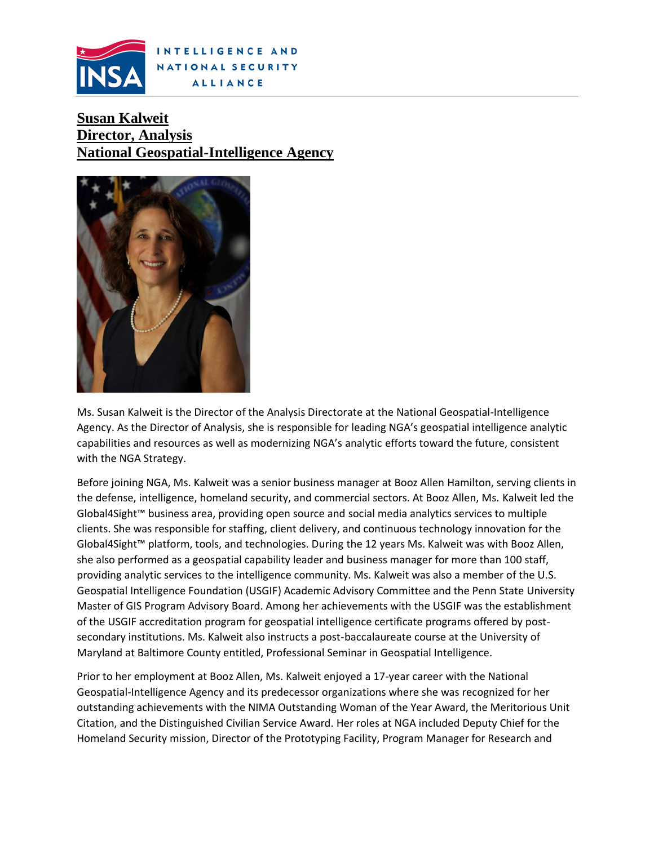

## **Susan Kalweit Director, Analysis National Geospatial-Intelligence Agency**



Ms. Susan Kalweit is the Director of the Analysis Directorate at the National Geospatial-Intelligence Agency. As the Director of Analysis, she is responsible for leading NGA's geospatial intelligence analytic capabilities and resources as well as modernizing NGA's analytic efforts toward the future, consistent with the NGA Strategy.

Before joining NGA, Ms. Kalweit was a senior business manager at Booz Allen Hamilton, serving clients in the defense, intelligence, homeland security, and commercial sectors. At Booz Allen, Ms. Kalweit led the Global4Sight™ business area, providing open source and social media analytics services to multiple clients. She was responsible for staffing, client delivery, and continuous technology innovation for the Global4Sight™ platform, tools, and technologies. During the 12 years Ms. Kalweit was with Booz Allen, she also performed as a geospatial capability leader and business manager for more than 100 staff, providing analytic services to the intelligence community. Ms. Kalweit was also a member of the U.S. Geospatial Intelligence Foundation (USGIF) Academic Advisory Committee and the Penn State University Master of GIS Program Advisory Board. Among her achievements with the USGIF was the establishment of the USGIF accreditation program for geospatial intelligence certificate programs offered by postsecondary institutions. Ms. Kalweit also instructs a post-baccalaureate course at the University of Maryland at Baltimore County entitled, Professional Seminar in Geospatial Intelligence.

Prior to her employment at Booz Allen, Ms. Kalweit enjoyed a 17-year career with the National Geospatial-Intelligence Agency and its predecessor organizations where she was recognized for her outstanding achievements with the NIMA Outstanding Woman of the Year Award, the Meritorious Unit Citation, and the Distinguished Civilian Service Award. Her roles at NGA included Deputy Chief for the Homeland Security mission, Director of the Prototyping Facility, Program Manager for Research and